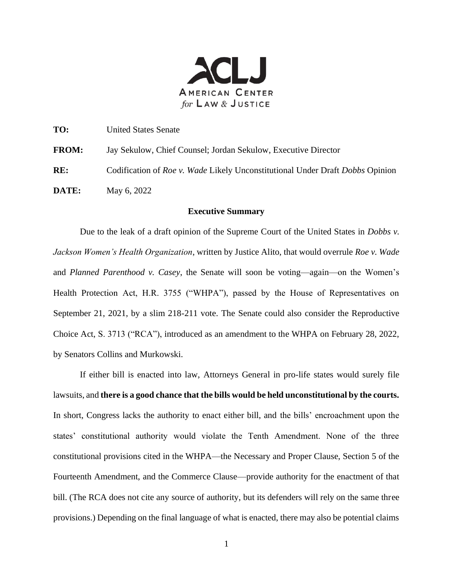

**TO:** United States Senate

**FROM:** Jay Sekulow, Chief Counsel; Jordan Sekulow, Executive Director

**RE:** Codification of *Roe v. Wade* Likely Unconstitutional Under Draft *Dobbs* Opinion

**DATE:** May 6, 2022

## **Executive Summary**

Due to the leak of a draft opinion of the Supreme Court of the United States in *Dobbs v. Jackson Women's Health Organization*, written by Justice Alito, that would overrule *Roe v. Wade* and *Planned Parenthood v. Casey*, the Senate will soon be voting—again—on the Women's Health Protection Act, H.R. 3755 ("WHPA"), passed by the House of Representatives on September 21, 2021, by a slim 218-211 vote. The Senate could also consider the Reproductive Choice Act, S. 3713 ("RCA"), introduced as an amendment to the WHPA on February 28, 2022, by Senators Collins and Murkowski.

If either bill is enacted into law, Attorneys General in pro-life states would surely file lawsuits, and **there is a good chance that the bills would be held unconstitutional by the courts.** In short, Congress lacks the authority to enact either bill, and the bills' encroachment upon the states' constitutional authority would violate the Tenth Amendment. None of the three constitutional provisions cited in the WHPA—the Necessary and Proper Clause, Section 5 of the Fourteenth Amendment, and the Commerce Clause—provide authority for the enactment of that bill. (The RCA does not cite any source of authority, but its defenders will rely on the same three provisions.) Depending on the final language of what is enacted, there may also be potential claims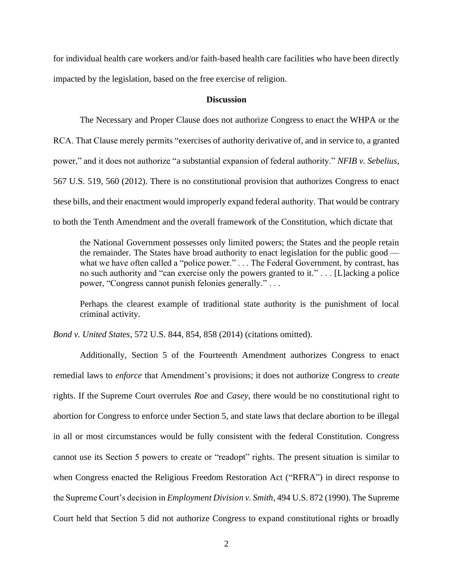for individual health care workers and/or faith-based health care facilities who have been directly impacted by the legislation, based on the free exercise of religion.

## **Discussion**

The Necessary and Proper Clause does not authorize Congress to enact the WHPA or the RCA. That Clause merely permits "exercises of authority derivative of, and in service to, a granted power," and it does not authorize "a substantial expansion of federal authority." *NFIB v. Sebelius*, 567 U.S. 519, 560 (2012). There is no constitutional provision that authorizes Congress to enact these bills, and their enactment would improperly expand federal authority. That would be contrary to both the Tenth Amendment and the overall framework of the Constitution, which dictate that

the National Government possesses only limited powers; the States and the people retain the remainder. The States have broad authority to enact legislation for the public good what we have often called a "police power." . . . The Federal Government, by contrast, has no such authority and "can exercise only the powers granted to it." . . . [L]acking a police power, "Congress cannot punish felonies generally." . . .

Perhaps the clearest example of traditional state authority is the punishment of local criminal activity.

*Bond v. United States*, 572 U.S. 844, 854, 858 (2014) (citations omitted).

Additionally, Section 5 of the Fourteenth Amendment authorizes Congress to enact remedial laws to *enforce* that Amendment's provisions; it does not authorize Congress to *create* rights. If the Supreme Court overrules *Roe* and *Casey*, there would be no constitutional right to abortion for Congress to enforce under Section 5, and state laws that declare abortion to be illegal in all or most circumstances would be fully consistent with the federal Constitution. Congress cannot use its Section 5 powers to create or "readopt" rights. The present situation is similar to when Congress enacted the Religious Freedom Restoration Act ("RFRA") in direct response to the Supreme Court's decision in *Employment Division v. Smith*, 494 U.S. 872 (1990). The Supreme Court held that Section 5 did not authorize Congress to expand constitutional rights or broadly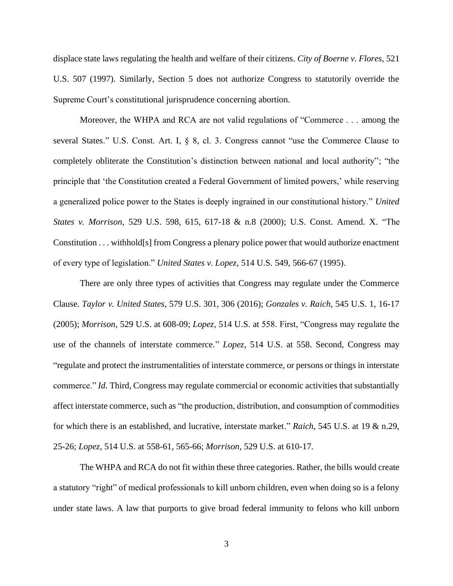displace state laws regulating the health and welfare of their citizens. *City of Boerne v. Flores*, 521 U.S. 507 (1997). Similarly, Section 5 does not authorize Congress to statutorily override the Supreme Court's constitutional jurisprudence concerning abortion.

Moreover, the WHPA and RCA are not valid regulations of "Commerce . . . among the several States." U.S. Const. Art. I, § 8, cl. 3. Congress cannot "use the Commerce Clause to completely obliterate the Constitution's distinction between national and local authority"; "the principle that 'the Constitution created a Federal Government of limited powers,' while reserving a generalized police power to the States is deeply ingrained in our constitutional history." *United States v. Morrison*, 529 U.S. 598, 615, 617-18 & n.8 (2000); U.S. Const. Amend. X. "The Constitution . . . withhold[s] from Congress a plenary police power that would authorize enactment of every type of legislation." *United States v. Lopez*, 514 U.S. 549, 566-67 (1995).

There are only three types of activities that Congress may regulate under the Commerce Clause. *Taylor v. United States*, 579 U.S. 301, 306 (2016); *Gonzales v. Raich*, 545 U.S. 1, 16-17 (2005); *Morrison*, 529 U.S. at 608-09; *Lopez*, 514 U.S. at 558. First, "Congress may regulate the use of the channels of interstate commerce." *Lopez*, 514 U.S. at 558. Second, Congress may "regulate and protect the instrumentalities of interstate commerce, or persons or things in interstate commerce." *Id.* Third, Congress may regulate commercial or economic activities that substantially affect interstate commerce, such as "the production, distribution, and consumption of commodities for which there is an established, and lucrative, interstate market." *Raich*, 545 U.S. at 19 & n.29, 25-26; *Lopez*, 514 U.S. at 558-61, 565-66; *Morrison*, 529 U.S. at 610-17.

The WHPA and RCA do not fit within these three categories. Rather, the bills would create a statutory "right" of medical professionals to kill unborn children, even when doing so is a felony under state laws. A law that purports to give broad federal immunity to felons who kill unborn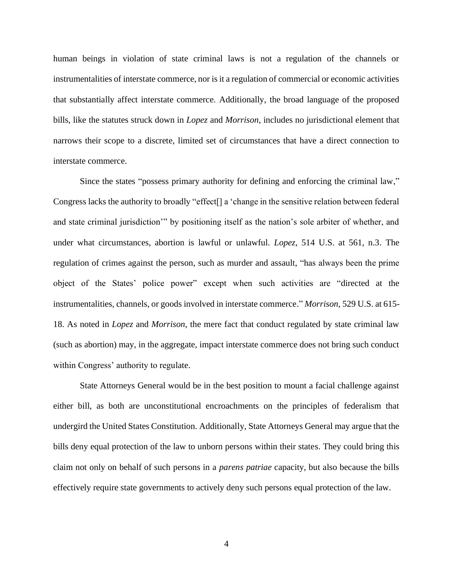human beings in violation of state criminal laws is not a regulation of the channels or instrumentalities of interstate commerce, nor is it a regulation of commercial or economic activities that substantially affect interstate commerce. Additionally, the broad language of the proposed bills, like the statutes struck down in *Lopez* and *Morrison*, includes no jurisdictional element that narrows their scope to a discrete, limited set of circumstances that have a direct connection to interstate commerce.

Since the states "possess primary authority for defining and enforcing the criminal law," Congress lacks the authority to broadly "effect[] a 'change in the sensitive relation between federal and state criminal jurisdiction'" by positioning itself as the nation's sole arbiter of whether, and under what circumstances, abortion is lawful or unlawful. *Lopez*, 514 U.S. at 561, n.3. The regulation of crimes against the person, such as murder and assault, "has always been the prime object of the States' police power" except when such activities are "directed at the instrumentalities, channels, or goods involved in interstate commerce." *Morrison*, 529 U.S. at 615- 18. As noted in *Lopez* and *Morrison*, the mere fact that conduct regulated by state criminal law (such as abortion) may, in the aggregate, impact interstate commerce does not bring such conduct within Congress' authority to regulate.

State Attorneys General would be in the best position to mount a facial challenge against either bill, as both are unconstitutional encroachments on the principles of federalism that undergird the United States Constitution. Additionally, State Attorneys General may argue that the bills deny equal protection of the law to unborn persons within their states. They could bring this claim not only on behalf of such persons in a *parens patriae* capacity, but also because the bills effectively require state governments to actively deny such persons equal protection of the law.